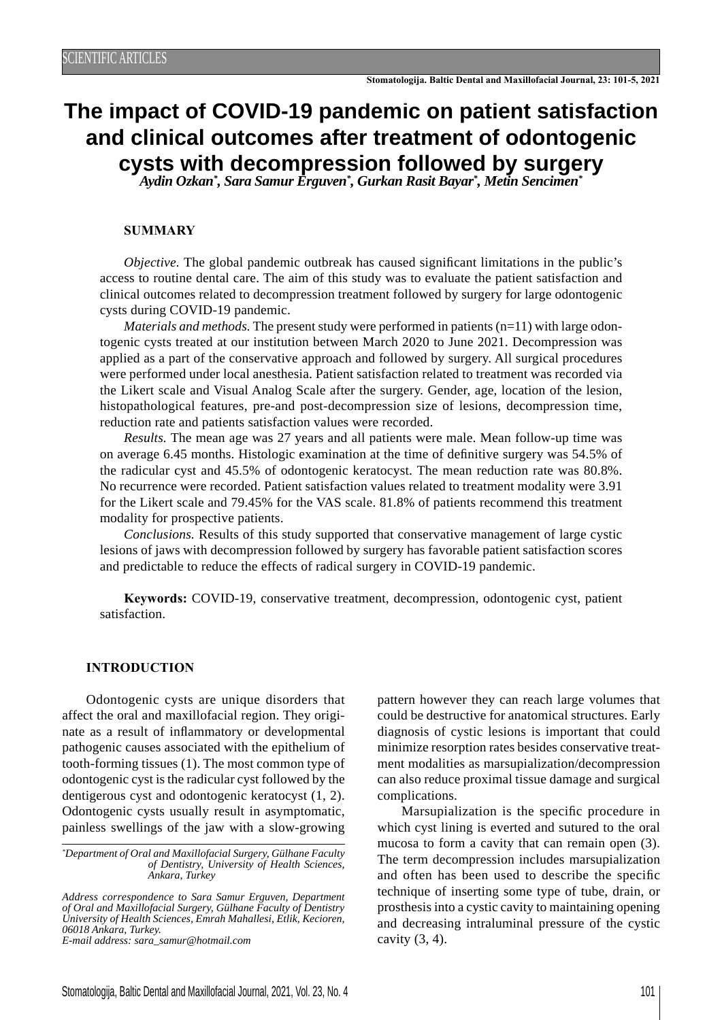# **The impact of COVID-19 pandemic on patient satisfaction and clinical outcomes after treatment of odontogenic cysts with decompression followed by surgery** *Aydin Ozkan\* , Sara Samur Erguven\* , Gurkan Rasit Bayar\* , Metin Sencimen\**

#### **SUMMARY**

*Objective*. The global pandemic outbreak has caused significant limitations in the public's access to routine dental care. The aim of this study was to evaluate the patient satisfaction and clinical outcomes related to decompression treatment followed by surgery for large odontogenic cysts during COVID-19 pandemic.

*Materials and methods.* The present study were performed in patients  $(n=11)$  with large odontogenic cysts treated at our institution between March 2020 to June 2021. Decompression was applied as a part of the conservative approach and followed by surgery. All surgical procedures were performed under local anesthesia. Patient satisfaction related to treatment was recorded via the Likert scale and Visual Analog Scale after the surgery. Gender, age, location of the lesion, histopathological features, pre-and post-decompression size of lesions, decompression time, reduction rate and patients satisfaction values were recorded.

*Results.* The mean age was 27 years and all patients were male. Mean follow-up time was on average 6.45 months. Histologic examination at the time of definitive surgery was 54.5% of the radicular cyst and 45.5% of odontogenic keratocyst. The mean reduction rate was 80.8%. No recurrence were recorded. Patient satisfaction values related to treatment modality were 3.91 for the Likert scale and 79.45% for the VAS scale. 81.8% of patients recommend this treatment modality for prospective patients.

*Conclusions.* Results of this study supported that conservative management of large cystic lesions of jaws with decompression followed by surgery has favorable patient satisfaction scores and predictable to reduce the effects of radical surgery in COVID-19 pandemic.

**Keywords:** COVID-19, conservative treatment, decompression, odontogenic cyst, patient satisfaction.

#### **INTRODUCTION**

Odontogenic cysts are unique disorders that affect the oral and maxillofacial region. They originate as a result of inflammatory or developmental pathogenic causes associated with the epithelium of tooth-forming tissues (1). The most common type of odontogenic cyst is the radicular cyst followed by the dentigerous cyst and odontogenic keratocyst (1, 2). Odontogenic cysts usually result in asymptomatic, painless swellings of the jaw with a slow-growing

*\* Department of Oral and Maxillofacial Surgery, Gülhane Faculty of Dentistry, University of Health Sciences, Ankara, Turkey*

*Address correspondence to Sara Samur Erguven, Department of Oral and Maxillofacial Surgery, Gülhane Faculty of Dentistry University of Health Sciences, Emrah Mahallesi, Etlik, Kecioren, 06018 Ankara, Turkey.*

*E-mail address: sara\_samur@hotmail.com*

pattern however they can reach large volumes that could be destructive for anatomical structures. Early diagnosis of cystic lesions is important that could minimize resorption rates besides conservative treatment modalities as marsupialization/decompression can also reduce proximal tissue damage and surgical complications.

Marsupialization is the specific procedure in which cyst lining is everted and sutured to the oral mucosa to form a cavity that can remain open (3). The term decompression includes marsupialization and often has been used to describe the specific technique of inserting some type of tube, drain, or prosthesis into a cystic cavity to maintaining opening and decreasing intraluminal pressure of the cystic cavity  $(3, 4)$ .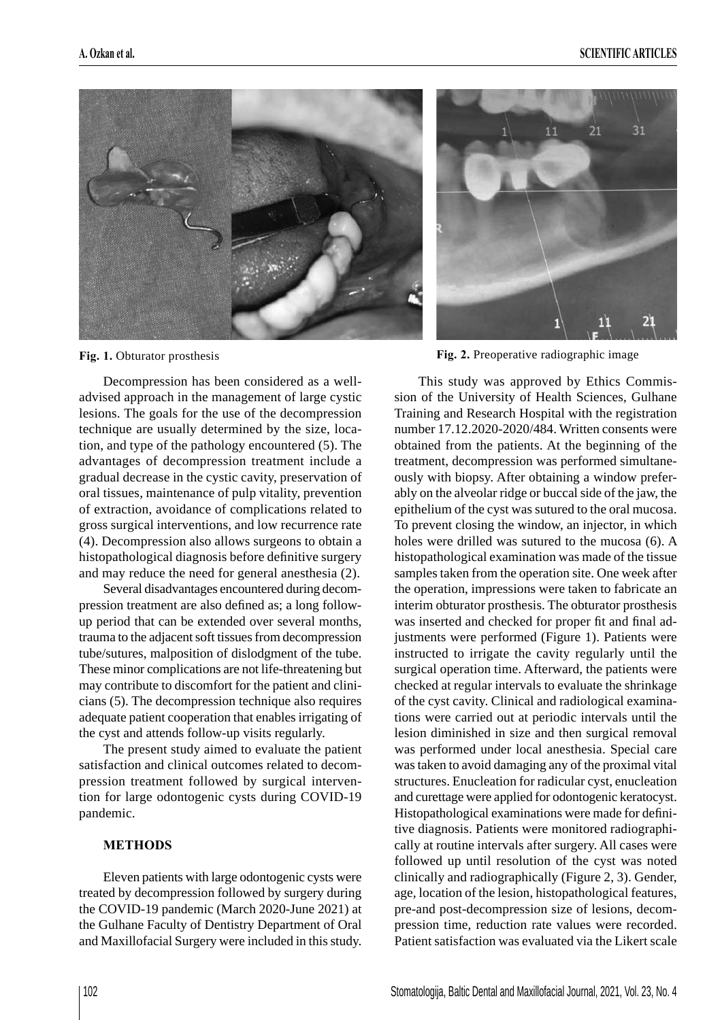

Decompression has been considered as a welladvised approach in the management of large cystic lesions. The goals for the use of the decompression technique are usually determined by the size, location, and type of the pathology encountered (5). The advantages of decompression treatment include a gradual decrease in the cystic cavity, preservation of oral tissues, maintenance of pulp vitality, prevention of extraction, avoidance of complications related to gross surgical interventions, and low recurrence rate (4). Decompression also allows surgeons to obtain a histopathological diagnosis before definitive surgery and may reduce the need for general anesthesia (2).

Several disadvantages encountered during decompression treatment are also defined as; a long followup period that can be extended over several months, trauma to the adjacent soft tissues from decompression tube/sutures, malposition of dislodgment of the tube. These minor complications are not life-threatening but may contribute to discomfort for the patient and clinicians (5). The decompression technique also requires adequate patient cooperation that enables irrigating of the cyst and attends follow-up visits regularly.

The present study aimed to evaluate the patient satisfaction and clinical outcomes related to decompression treatment followed by surgical intervention for large odontogenic cysts during COVID-19 pandemic.

# **METHODS**

Eleven patients with large odontogenic cysts were treated by decompression followed by surgery during the COVID-19 pandemic (March 2020-June 2021) at the Gulhane Faculty of Dentistry Department of Oral and Maxillofacial Surgery were included in this study.



**Fig. 1.** Obturator prosthesis **Fig. 2.** Preoperative radiographic image

This study was approved by Ethics Commission of the University of Health Sciences, Gulhane Training and Research Hospital with the registration number 17.12.2020-2020/484. Written consents were obtained from the patients. At the beginning of the treatment, decompression was performed simultaneously with biopsy. After obtaining a window preferably on the alveolar ridge or buccal side of the jaw, the epithelium of the cyst was sutured to the oral mucosa. To prevent closing the window, an injector, in which holes were drilled was sutured to the mucosa (6). A histopathological examination was made of the tissue samples taken from the operation site. One week after the operation, impressions were taken to fabricate an interim obturator prosthesis. The obturator prosthesis was inserted and checked for proper fit and final adjustments were performed (Figure 1). Patients were instructed to irrigate the cavity regularly until the surgical operation time. Afterward, the patients were checked at regular intervals to evaluate the shrinkage of the cyst cavity. Clinical and radiological examinations were carried out at periodic intervals until the lesion diminished in size and then surgical removal was performed under local anesthesia. Special care was taken to avoid damaging any of the proximal vital structures. Enucleation for radicular cyst, enucleation and curettage were applied for odontogenic keratocyst. Histopathological examinations were made for definitive diagnosis. Patients were monitored radiographically at routine intervals after surgery. All cases were followed up until resolution of the cyst was noted clinically and radiographically (Figure 2, 3). Gender, age, location of the lesion, histopathological features, pre-and post-decompression size of lesions, decompression time, reduction rate values were recorded. Patient satisfaction was evaluated via the Likert scale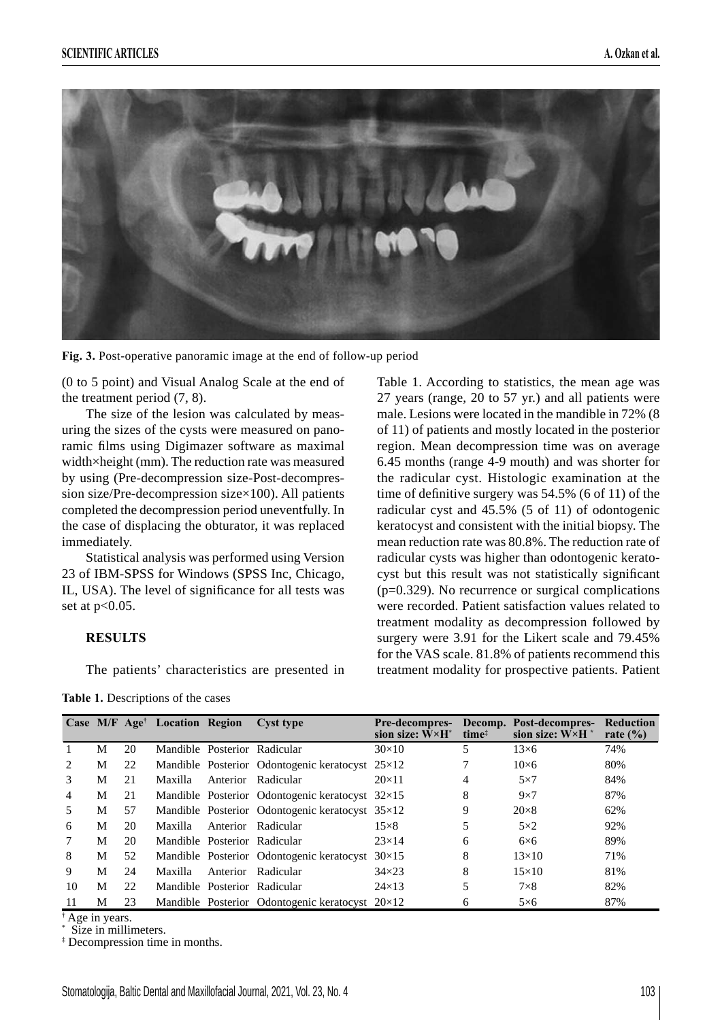

**Fig. 3.** Post-operative panoramic image at the end of follow-up period

(0 to 5 point) and Visual Analog Scale at the end of the treatment period (7, 8).

The size of the lesion was calculated by measuring the sizes of the cysts were measured on panoramic films using Digimazer software as maximal width×height (mm). The reduction rate was measured by using (Pre-decompression size-Post-decompression size/Pre-decompression size×100). All patients completed the decompression period uneventfully. In the case of displacing the obturator, it was replaced immediately.

Statistical analysis was performed using Version 23 of IBM-SPSS for Windows (SPSS Inc, Chicago, IL, USA). The level of significance for all tests was set at p<0.05.

#### **RESULTS**

The patients' characteristics are presented in

**Table 1.** Descriptions of the cases

Table 1. According to statistics, the mean age was 27 years (range, 20 to 57 yr.) and all patients were male. Lesions were located in the mandible in 72% (8 of 11) of patients and mostly located in the posterior region. Mean decompression time was on average 6.45 months (range 4-9 mouth) and was shorter for the radicular cyst. Histologic examination at the time of definitive surgery was  $54.5\%$  (6 of 11) of the radicular cyst and 45.5% (5 of 11) of odontogenic keratocyst and consistent with the initial biopsy. The mean reduction rate was 80.8%. The reduction rate of radicular cysts was higher than odontogenic keratocyst but this result was not statistically significant  $(p=0.329)$ . No recurrence or surgical complications were recorded. Patient satisfaction values related to treatment modality as decompression followed by surgery were 3.91 for the Likert scale and 79.45% for the VAS scale. 81.8% of patients recommend this treatment modality for prospective patients. Patient

|               |   |    | Case M/F Age <sup>†</sup> Location Region | <b>Cyst type</b>                                       | <b>Pre-decompres-</b><br>sion size: $W \times H^*$ | time <sup>#</sup> | Decomp. Post-decompres-<br>sion size: $W \times H^*$ | <b>Reduction</b><br>rate $(\% )$ |
|---------------|---|----|-------------------------------------------|--------------------------------------------------------|----------------------------------------------------|-------------------|------------------------------------------------------|----------------------------------|
|               | М | 20 |                                           | Mandible Posterior Radicular                           | $30\times10$                                       |                   | $13\times 6$                                         | 74%                              |
| 2             | М | 22 |                                           | Mandible Posterior Odontogenic keratocyst $25\times12$ |                                                    |                   | $10\times 6$                                         | 80%                              |
| $\mathcal{Z}$ | М | 21 | Maxilla                                   | Anterior Radicular                                     | $20\times11$                                       | 4                 | $5\times7$                                           | 84%                              |
| 4             | М | 21 |                                           | Mandible Posterior Odontogenic keratocyst $32\times15$ |                                                    | 8                 | $9\times7$                                           | 87%                              |
| 5             | М | 57 |                                           | Mandible Posterior Odontogenic keratocyst $35\times12$ |                                                    | 9                 | $20\times8$                                          | 62%                              |
| 6             | М | 20 | Maxilla                                   | Anterior Radicular                                     | $15\times8$                                        | 5                 | $5\times2$                                           | 92%                              |
|               | М | 20 |                                           | Mandible Posterior Radicular                           | $23\times14$                                       | 6                 | $6\times 6$                                          | 89%                              |
| 8             | M | 52 |                                           | Mandible Posterior Odontogenic keratocyst $30\times15$ |                                                    | 8                 | $13\times10$                                         | 71%                              |
| 9             | М | 24 | Maxilla                                   | Anterior Radicular                                     | $34\times23$                                       | 8                 | $15\times10$                                         | 81%                              |
| 10            | М | 22 |                                           | Mandible Posterior Radicular                           | $24\times13$                                       | 5                 | $7\times8$                                           | 82%                              |
| 11            | М | 23 |                                           | Mandible Posterior Odontogenic keratocyst 20×12        |                                                    | 6                 | $5\times6$                                           | 87%                              |

† Age in years.

\* Size in millimeters.

‡ Decompression time in months.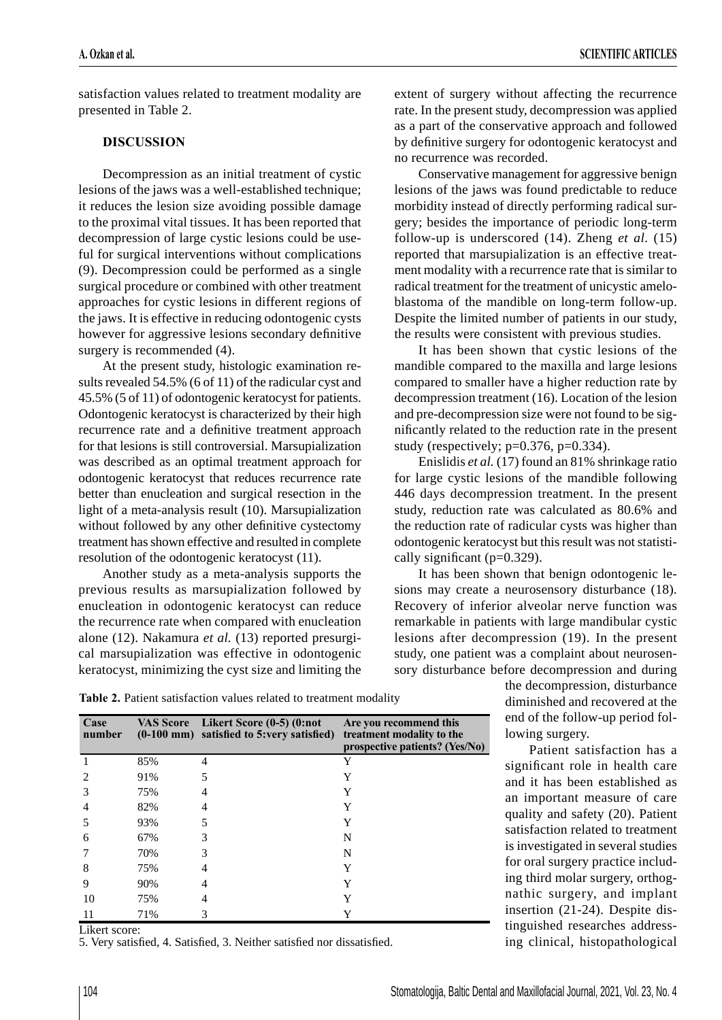satisfaction values related to treatment modality are presented in Table 2.

# **DISCUSSION**

Decompression as an initial treatment of cystic lesions of the jaws was a well-established technique; it reduces the lesion size avoiding possible damage to the proximal vital tissues. It has been reported that decompression of large cystic lesions could be useful for surgical interventions without complications (9). Decompression could be performed as a single surgical procedure or combined with other treatment approaches for cystic lesions in different regions of the jaws. It is effective in reducing odontogenic cysts however for aggressive lesions secondary definitive surgery is recommended (4).

At the present study, histologic examination results revealed 54.5% (6 of 11) of the radicular cyst and 45.5% (5 of 11) of odontogenic keratocyst for patients. Odontogenic keratocyst is characterized by their high recurrence rate and a definitive treatment approach for that lesions is still controversial. Marsupialization was described as an optimal treatment approach for odontogenic keratocyst that reduces recurrence rate better than enucleation and surgical resection in the light of a meta-analysis result (10). Marsupialization without followed by any other definitive cystectomy treatment has shown effective and resulted in complete resolution of the odontogenic keratocyst (11).

Another study as a meta-analysis supports the previous results as marsupialization followed by enucleation in odontogenic keratocyst can reduce the recurrence rate when compared with enucleation alone (12). Nakamura *et al.* (13) reported presurgical marsupialization was effective in odontogenic keratocyst, minimizing the cyst size and limiting the extent of surgery without affecting the recurrence rate. In the present study, decompression was applied as a part of the conservative approach and followed by definitive surgery for odontogenic keratocyst and no recurrence was recorded.

Conservative management for aggressive benign lesions of the jaws was found predictable to reduce morbidity instead of directly performing radical surgery; besides the importance of periodic long-term follow-up is underscored (14). Zheng *et al.* (15) reported that marsupialization is an effective treatment modality with a recurrence rate that is similar to radical treatment for the treatment of unicystic ameloblastoma of the mandible on long-term follow-up. Despite the limited number of patients in our study, the results were consistent with previous studies.

It has been shown that cystic lesions of the mandible compared to the maxilla and large lesions compared to smaller have a higher reduction rate by decompression treatment (16). Location of the lesion and pre-decompression size were not found to be significantly related to the reduction rate in the present study (respectively;  $p=0.376$ ,  $p=0.334$ ).

Enislidis *et al.* (17) found an 81% shrinkage ratio for large cystic lesions of the mandible following 446 days decompression treatment. In the present study, reduction rate was calculated as 80.6% and the reduction rate of radicular cysts was higher than odontogenic keratocyst but this result was not statistically significant ( $p=0.329$ ).

It has been shown that benign odontogenic lesions may create a neurosensory disturbance (18). Recovery of inferior alveolar nerve function was remarkable in patients with large mandibular cystic lesions after decompression (19). In the present study, one patient was a complaint about neurosensory disturbance before decompression and during

the decompression, disturbance diminished and recovered at the end of the follow-up period following surgery.

Patient satisfaction has a significant role in health care and it has been established as an important measure of care quality and safety (20). Patient satisfaction related to treatment is investigated in several studies for oral surgery practice including third molar surgery, orthognathic surgery, and implant insertion (21-24). Despite distinguished researches addressing clinical, histopathological

Table 2. Patient satisfaction values related to treatment modality

| Case<br>number |     | VAS Score Likert Score (0-5) (0:not<br>(0-100 mm) satisfied to 5:very satisfied) | Are you recommend this<br>treatment modality to the<br>prospective patients? (Yes/No) |
|----------------|-----|----------------------------------------------------------------------------------|---------------------------------------------------------------------------------------|
|                | 85% | 4                                                                                | Y                                                                                     |
| 2              | 91% | 5                                                                                | Y                                                                                     |
| 3              | 75% | 4                                                                                | Y                                                                                     |
| 4              | 82% | $\overline{4}$                                                                   | Y                                                                                     |
| 5              | 93% | 5                                                                                | Y                                                                                     |
| 6              | 67% | 3                                                                                | N                                                                                     |
|                | 70% | 3                                                                                | N                                                                                     |
| 8              | 75% | 4                                                                                | Y                                                                                     |
| 9              | 90% | 4                                                                                | Y                                                                                     |
| 10             | 75% | 4                                                                                | Y                                                                                     |
| 11             | 71% | 3                                                                                | Y                                                                                     |

Likert score:

5. Very satisfied, 4. Satisfied, 3. Neither satisfied nor dissatisfied.